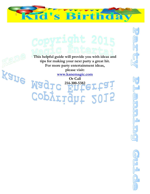

 $\overline{\mathsf{b}_{\mathbb{C}}}$ 

SECY

.<br>ਗ੍ਰ

**DELERGE** 

**This helpful guide will provide you with ideas and tips for making your next party a great hit. For more party entertainment ideas, please visit:**

**KSUE MSQIC 214-300-5382 61** 

Copyright 2015

**Or Call 214-300-5382**ertai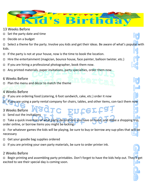

- 13 Weeks Before
- $\Box$  Set the party date and time
- Decide on a budget

Select a theme for the party. Involve you kids and get their ideas. Be aware of what's popular with kids.

- If the party is not at your house, now is the time to book the location.
- $\Box$  Hire the entertainment (magician, bounce house, face painter, balloon twister, etc.)
- $\Box$  If you are hiring a professional photographer, book them now.
- Any printed materials, paper invitations, party specialties, order them now.

## 6 Weeks Before

Plan the menu and décor to match the theme

# 4 Weeks Before

- $\Box$  If you are ordering food (catering, 6 foot sandwich, cake, etc.) order it now
- If you are using a party rental company for chairs, tables, and other items, con-tact them now

## 3 Weeks Before

- □ Send out the invitations
- Take a quick inventory of what party decorations you have on hand, and make a shopping trip, order online, or borrow items you might be lacking.

Enter.

 $\Box$  For whatever games the kids will be playing, be sure to buy or borrow any sup-plies that will be necessary

- $\Box$  Get your goodie bag supplies ordered
- $\Box$  If you are printing your own party materials, be sure to order printer ink.

## 2 Weeks Before

□ Begin printing and assembling party printables. Don't forget to have the kids help out. They'll get excited to see their special day is coming soon.